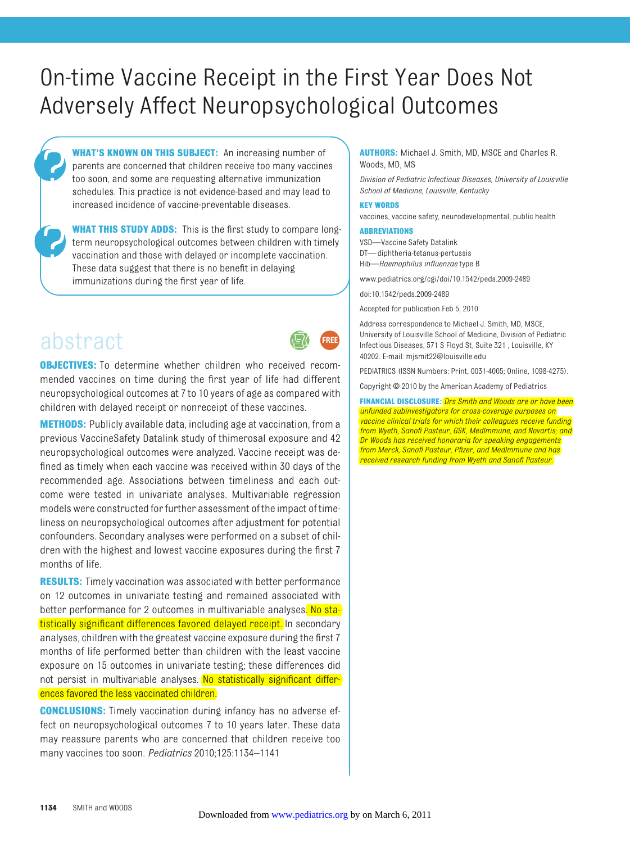# On-time Vaccine Receipt in the First Year Does Not Adversely Affect Neuropsychological Outcomes

**WHAT'S KNOWN ON THIS SUBJECT:** An increasing number of parents are concerned that children receive too many vaccines too soon, and some are requesting alternative immunization schedules. This practice is not evidence-based and may lead to increased incidence of vaccine-preventable diseases.

**WHAT THIS STUDY ADDS:** This is the first study to compare longterm neuropsychological outcomes between children with timely vaccination and those with delayed or incomplete vaccination. These data suggest that there is no benefit in delaying immunizations during the first year of life.

# abstract **<sup>+</sup>**

**REE** 

**OBJECTIVES:** To determine whether children who received recommended vaccines on time during the first year of life had different neuropsychological outcomes at 7 to 10 years of age as compared with children with delayed receipt or nonreceipt of these vaccines.

**METHODS:** Publicly available data, including age at vaccination, from a previous VaccineSafety Datalink study of thimerosal exposure and 42 neuropsychological outcomes were analyzed. Vaccine receipt was defined as timely when each vaccine was received within 30 days of the recommended age. Associations between timeliness and each outcome were tested in univariate analyses. Multivariable regression models were constructed for further assessment of the impact of timeliness on neuropsychological outcomes after adjustment for potential confounders. Secondary analyses were performed on a subset of children with the highest and lowest vaccine exposures during the first 7 months of life.

**RESULTS:** Timely vaccination was associated with better performance on 12 outcomes in univariate testing and remained associated with better performance for 2 outcomes in multivariable analyses. No statistically significant differences favored delayed receipt. In secondary analyses, children with the greatest vaccine exposure during the first 7 months of life performed better than children with the least vaccine exposure on 15 outcomes in univariate testing; these differences did not persist in multivariable analyses. No statistically significant differences favored the less vaccinated children.

**CONCLUSIONS:** Timely vaccination during infancy has no adverse effect on neuropsychological outcomes 7 to 10 years later. These data may reassure parents who are concerned that children receive too many vaccines too soon. *Pediatrics* 2010;125:1134–1141

## **AUTHORS:** Michael J. Smith, MD, MSCE and Charles R. Woods, MD, MS

*Division of Pediatric Infectious Diseases, University of Louisville School of Medicine, Louisville, Kentucky*

#### **KEY WORDS**

vaccines, vaccine safety, neurodevelopmental, public health

#### **ABBREVIATIONS**

VSD—Vaccine Safety Datalink DT—diphtheria-tetanus-pertussis Hib—*Haemophilus influenzae* type B

www.pediatrics.org/cgi/doi/10.1542/peds.2009-2489

doi:10.1542/peds.2009-2489

Accepted for publication Feb 5, 2010

Address correspondence to Michael J. Smith, MD, MSCE, University of Louisville School of Medicine, Division of Pediatric Infectious Diseases, 571 S Floyd St, Suite 321 , Louisville, KY 40202. E-mail: mjsmit22@louisville.edu

PEDIATRICS (ISSN Numbers: Print, 0031-4005; Online, 1098-4275).

Copyright © 2010 by the American Academy of Pediatrics

**FINANCIAL DISCLOSURE:** *Drs Smith and Woods are or have been unfunded subinvestigators for cross-coverage purposes on vaccine clinical trials for which their colleagues receive funding from Wyeth, Sanofi Pasteur, GSK, MedImmune, and Novartis; and Dr Woods has received honoraria for speaking engagements from Merck, Sanofi Pasteur, Pfizer, and MedImmune and has received research funding from Wyeth and Sanofi Pasteur.*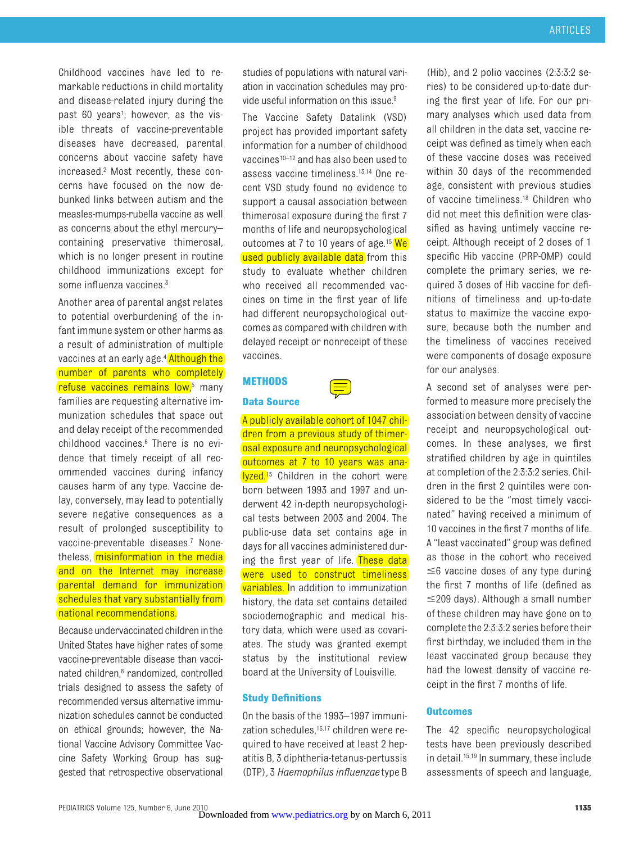Childhood vaccines have led to remarkable reductions in child mortality and disease-related injury during the past 60 years<sup>1</sup>; however, as the visible threats of vaccine-preventable diseases have decreased, parental concerns about vaccine safety have increased.2 Most recently, these concerns have focused on the now debunked links between autism and the measles-mumps-rubella vaccine as well as concerns about the ethyl mercury– containing preservative thimerosal, which is no longer present in routine childhood immunizations except for some influenza vaccines.3

Another area of parental angst relates to potential overburdening of the infant immune system or other harms as a result of administration of multiple vaccines at an early age.<sup>4</sup> Although the number of parents who completely refuse vaccines remains low,<sup>5</sup> many families are requesting alternative immunization schedules that space out and delay receipt of the recommended childhood vaccines.6 There is no evidence that timely receipt of all recommended vaccines during infancy causes harm of any type. Vaccine delay, conversely, may lead to potentially severe negative consequences as a result of prolonged susceptibility to vaccine-preventable diseases.7 Nonetheless, misinformation in the media and on the Internet may increase parental demand for immunization schedules that vary substantially from national recommendations.

Because undervaccinated children inthe United States have higher rates of some vaccine-preventable disease than vaccinated children,8 randomized, controlled trials designed to assess the safety of recommended versus alternative immunization schedules cannot be conducted on ethical grounds; however, the National Vaccine Advisory Committee Vaccine Safety Working Group has suggested that retrospective observational

studies of populations with natural variation in vaccination schedules may provide useful information on this issue.<sup>9</sup>

The Vaccine Safety Datalink (VSD) project has provided important safety information for a number of childhood vaccines10–12 and has also been used to assess vaccine timeliness.13,14 One recent VSD study found no evidence to support a causal association between thimerosal exposure during the first 7 months of life and neuropsychological outcomes at 7 to 10 years of age.<sup>15</sup> We used publicly available data from this study to evaluate whether children who received all recommended vaccines on time in the first year of life had different neuropsychological outcomes as compared with children with delayed receipt or nonreceipt of these vaccines.

## **METHODS**

## **Data Source**



A publicly available cohort of 1047 children from a previous study of thimerosal exposure and neuropsychological outcomes at 7 to 10 years was analyzed.<sup>15</sup> Children in the cohort were born between 1993 and 1997 and underwent 42 in-depth neuropsychological tests between 2003 and 2004. The public-use data set contains age in days for all vaccines administered during the first year of life. These data were used to construct timeliness variables. In addition to immunization history, the data set contains detailed sociodemographic and medical history data, which were used as covariates. The study was granted exempt status by the institutional review board at the University of Louisville.

## **Study Definitions**

On the basis of the 1993–1997 immunization schedules,<sup>16,17</sup> children were required to have received at least 2 hepatitis B, 3 diphtheria-tetanus-pertussis (DTP), 3 *Haemophilus influenzae* type B

(Hib), and 2 polio vaccines (2:3:3:2 series) to be considered up-to-date during the first year of life. For our primary analyses which used data from all children in the data set, vaccine receipt was defined as timely when each of these vaccine doses was received within 30 days of the recommended age, consistent with previous studies of vaccine timeliness.18 Children who did not meet this definition were classified as having untimely vaccine receipt. Although receipt of 2 doses of 1 specific Hib vaccine (PRP-OMP) could complete the primary series, we required 3 doses of Hib vaccine for definitions of timeliness and up-to-date status to maximize the vaccine exposure, because both the number and the timeliness of vaccines received were components of dosage exposure for our analyses.

A second set of analyses were performed to measure more precisely the association between density of vaccine receipt and neuropsychological outcomes. In these analyses, we first stratified children by age in quintiles at completion of the 2:3:3:2 series. Children in the first 2 quintiles were considered to be the "most timely vaccinated" having received a minimum of 10 vaccines in the first 7 months of life. A "least vaccinated" group was defined as those in the cohort who received  $\leq$ 6 vaccine doses of any type during the first 7 months of life (defined as  $\leq$ 209 days). Although a small number of these children may have gone on to complete the 2:3:3:2 series before their first birthday, we included them in the least vaccinated group because they had the lowest density of vaccine receipt in the first 7 months of life.

## **Outcomes**

The 42 specific neuropsychological tests have been previously described in detail.15,19 In summary, these include assessments of speech and language,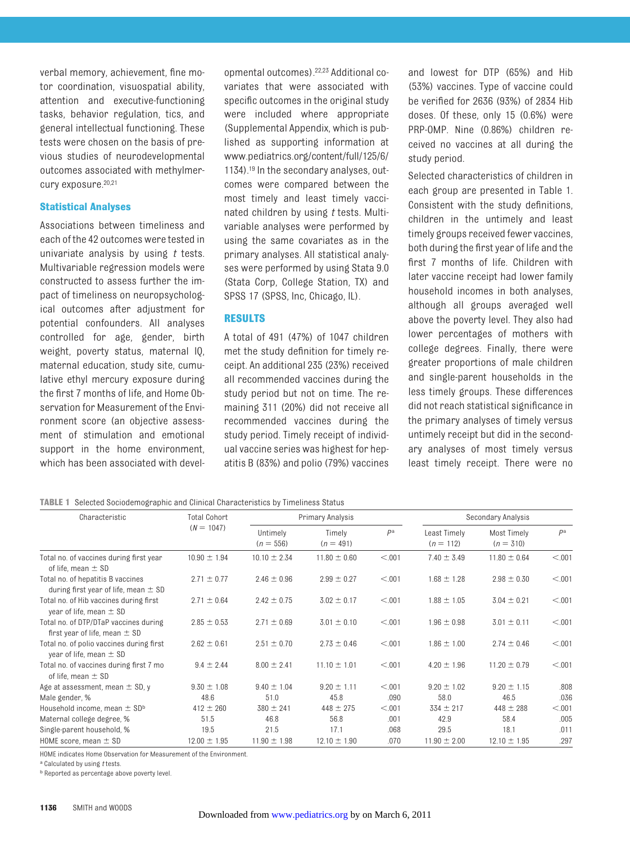verbal memory, achievement, fine motor coordination, visuospatial ability, attention and executive-functioning tasks, behavior regulation, tics, and general intellectual functioning. These tests were chosen on the basis of previous studies of neurodevelopmental outcomes associated with methylmercury exposure.<sup>20,21</sup>

## **Statistical Analyses**

Associations between timeliness and each of the 42 outcomes were tested in univariate analysis by using *t* tests. Multivariable regression models were constructed to assess further the impact of timeliness on neuropsychological outcomes after adjustment for potential confounders. All analyses controlled for age, gender, birth weight, poverty status, maternal IQ, maternal education, study site, cumulative ethyl mercury exposure during the first 7 months of life, and Home Observation for Measurement of the Environment score (an objective assessment of stimulation and emotional support in the home environment, which has been associated with developmental outcomes).22,23 Additional covariates that were associated with specific outcomes in the original study were included where appropriate (Supplemental Appendix, which is published as supporting information at www.pediatrics.org/content/full/125/6/ 1134).19 In the secondary analyses, outcomes were compared between the most timely and least timely vaccinated children by using *t* tests. Multivariable analyses were performed by using the same covariates as in the primary analyses. All statistical analyses were performed by using Stata 9.0 (Stata Corp, College Station, TX) and SPSS 17 (SPSS, Inc, Chicago, IL).

## **RESULTS**

A total of 491 (47%) of 1047 children met the study definition for timely receipt. An additional 235 (23%) received all recommended vaccines during the study period but not on time. The remaining 311 (20%) did not receive all recommended vaccines during the study period. Timely receipt of individual vaccine series was highest for hepatitis B (83%) and polio (79%) vaccines and lowest for DTP (65%) and Hib (53%) vaccines. Type of vaccine could be verified for 2636 (93%) of 2834 Hib doses. Of these, only 15 (0.6%) were PRP-OMP. Nine (0.86%) children received no vaccines at all during the study period.

Selected characteristics of children in each group are presented in Table 1. Consistent with the study definitions, children in the untimely and least timely groups received fewer vaccines, both during the first year of life and the first 7 months of life. Children with later vaccine receipt had lower family household incomes in both analyses, although all groups averaged well above the poverty level. They also had lower percentages of mothers with college degrees. Finally, there were greater proportions of male children and single-parent households in the less timely groups. These differences did not reach statistical significance in the primary analyses of timely versus untimely receipt but did in the secondary analyses of most timely versus least timely receipt. There were no

**TABLE 1** Selected Sociodemographic and Clinical Characteristics by Timeliness Status

| Characteristic                                                                | <b>Total Cohort</b> | Primary Analysis        |                       |        | Secondary Analysis          |                            |        |
|-------------------------------------------------------------------------------|---------------------|-------------------------|-----------------------|--------|-----------------------------|----------------------------|--------|
|                                                                               | $(N = 1047)$        | Untimely<br>$(n = 556)$ | Timely<br>$(n = 491)$ | Pa     | Least Timely<br>$(n = 112)$ | Most Timely<br>$(n = 310)$ | Рa     |
| Total no. of vaccines during first year<br>of life, mean $\pm$ SD             | $10.90 \pm 1.94$    | $10.10 \pm 2.34$        | $11.80 \pm 0.60$      | < 0.01 | $7.40 \pm 3.49$             | $11.80 \pm 0.64$           | < 0.01 |
| Total no. of hepatitis B vaccines<br>during first year of life, mean $\pm$ SD | $2.71 \pm 0.77$     | $2.46 \pm 0.96$         | $2.99 \pm 0.27$       | < 0.01 | $1.68 \pm 1.28$             | $2.98 \pm 0.30$            | < 0.01 |
| Total no. of Hib vaccines during first<br>year of life, mean $\pm$ SD         | $2.71 \pm 0.64$     | $2.42 \pm 0.75$         | $3.02 \pm 0.17$       | < 0.01 | $1.88 \pm 1.05$             | $3.04 \pm 0.21$            | < 0.01 |
| Total no. of DTP/DTaP vaccines during<br>first year of life, mean $\pm$ SD    | $2.85 \pm 0.53$     | $2.71 \pm 0.69$         | $3.01 \pm 0.10$       | < 0.01 | $1.96 \pm 0.98$             | $3.01 \pm 0.11$            | < 0.01 |
| Total no. of polio vaccines during first<br>year of life, mean $\pm$ SD       | $2.62 \pm 0.61$     | $2.51 \pm 0.70$         | $2.73 \pm 0.46$       | < 0.01 | $1.86 \pm 1.00$             | $2.74 \pm 0.46$            | < 0.01 |
| Total no. of vaccines during first 7 mo<br>of life, mean $\pm$ SD             | $9.4 \pm 2.44$      | $8.00 \pm 2.41$         | $11.10 \pm 1.01$      | < 0.01 | $4.20 \pm 1.96$             | $11.20 \pm 0.79$           | < 0.01 |
| Age at assessment, mean $\pm$ SD, y                                           | $9.30 \pm 1.08$     | $9.40 \pm 1.04$         | $9.20 \pm 1.11$       | < 0.01 | $9.20 \pm 1.02$             | $9.20 \pm 1.15$            | .808   |
| Male gender, %                                                                | 48.6                | 51.0                    | 45.8                  | .090   | 58.0                        | 46.5                       | .036   |
| Household income, mean $\pm$ SD <sup>b</sup>                                  | $412 \pm 260$       | $380 \pm 241$           | $448 \pm 275$         | < 0.01 | $334 \pm 217$               | $448 \pm 288$              | < 0.01 |
| Maternal college degree, %                                                    | 51.5                | 46.8                    | 56.8                  | .001   | 42.9                        | 58.4                       | .005   |
| Single-parent household, %                                                    | 19.5                | 21.5                    | 17.1                  | .068   | 29.5                        | 18.1                       | .011   |
| HOME score, mean $\pm$ SD                                                     | $12.00 \pm 1.95$    | $11.90 \pm 1.98$        | $12.10 \pm 1.90$      | .070   | $11.90 \pm 2.00$            | $12.10 \pm 1.95$           | .297   |

HOME indicates Home Observation for Measurement of the Environment.

a Calculated by using *t* tests.

**b** Reported as percentage above poverty level.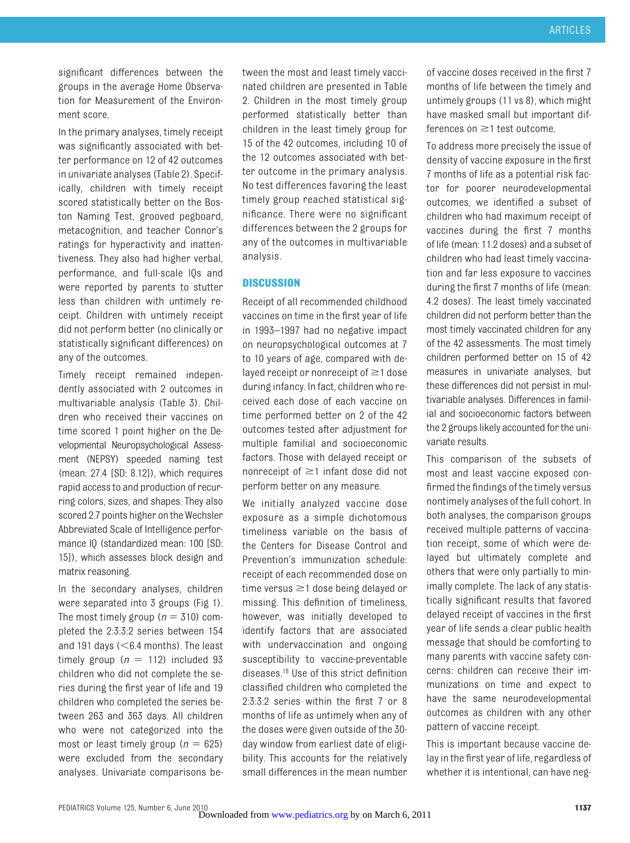significant differences between the groups in the average Home Observation for Measurement of the Environment score.

In the primary analyses, timely receipt was significantly associated with better performance on 12 of 42 outcomes in univariate analyses (Table 2). Specifically, children with timely receipt scored statistically better on the Boston Naming Test, grooved pegboard, metacognition, and teacher Connor's ratings for hyperactivity and inattentiveness. They also had higher verbal, performance, and full-scale IQs and were reported by parents to stutter less than children with untimely receipt. Children with untimely receipt did not perform better (no clinically or statistically significant differences) on any of the outcomes.

Timely receipt remained independently associated with 2 outcomes in multivariable analysis (Table 3). Children who received their vaccines on time scored 1 point higher on the Developmental Neuropsychological Assessment (NEPSY) speeded naming test (mean: 27.4 [SD: 8.12]), which requires rapid access to and production of recurring colors, sizes, and shapes. They also scored 2.7 points higher on the Wechsler Abbreviated Scale of Intelligence performance IQ (standardized mean: 100 [SD: 15]), which assesses block design and matrix reasoning.

In the secondary analyses, children were separated into 3 groups (Fig 1). The most timely group ( $n = 310$ ) completed the 2:3:3:2 series between 154 and 191 days  $(< 6.4$  months). The least timely group ( $n = 112$ ) included 93 children who did not complete the series during the first year of life and 19 children who completed the series between 263 and 363 days. All children who were not categorized into the most or least timely group  $(n = 625)$ were excluded from the secondary analyses. Univariate comparisons between the most and least timely vaccinated children are presented in Table 2. Children in the most timely group performed statistically better than children in the least timely group for 15 of the 42 outcomes, including 10 of the 12 outcomes associated with better outcome in the primary analysis. No test differences favoring the least timely group reached statistical significance. There were no significant differences between the 2 groups for any of the outcomes in multivariable analysis.

## **DISCUSSION**

Receipt of all recommended childhood vaccines on time in the first year of life in 1993–1997 had no negative impact on neuropsychological outcomes at 7 to 10 years of age, compared with delayed receipt or nonreceipt of  $\geq$ 1 dose during infancy. In fact, children who received each dose of each vaccine on time performed better on 2 of the 42 outcomes tested after adjustment for multiple familial and socioeconomic factors. Those with delayed receipt or nonreceipt of  $\geq$ 1 infant dose did not perform better on any measure.

We initially analyzed vaccine dose exposure as a simple dichotomous timeliness variable on the basis of the Centers for Disease Control and Prevention's immunization schedule: receipt of each recommended dose on time versus  $\geq$ 1 dose being delayed or missing. This definition of timeliness, however, was initially developed to identify factors that are associated with undervaccination and ongoing susceptibility to vaccine-preventable diseases.18 Use of this strict definition classified children who completed the 2:3:3:2 series within the first 7 or 8 months of life as untimely when any of the doses were given outside of the 30 day window from earliest date of eligibility. This accounts for the relatively small differences in the mean number of vaccine doses received in the first 7 months of life between the timely and untimely groups (11 vs 8), which might have masked small but important differences on  $\geq$ 1 test outcome.

To address more precisely the issue of density of vaccine exposure in the first 7 months of life as a potential risk factor for poorer neurodevelopmental outcomes, we identified a subset of children who had maximum receipt of vaccines during the first 7 months of life (mean: 11.2 doses) and a subset of children who had least timely vaccination and far less exposure to vaccines during the first 7 months of life (mean: 4.2 doses). The least timely vaccinated children did not perform better than the most timely vaccinated children for any of the 42 assessments. The most timely children performed better on 15 of 42 measures in univariate analyses, but these differences did not persist in multivariable analyses. Differences in familial and socioeconomic factors between the 2 groups likely accounted for the univariate results.

This comparison of the subsets of most and least vaccine exposed confirmed the findings of the timely versus nontimely analyses of the full cohort. In both analyses, the comparison groups received multiple patterns of vaccination receipt, some of which were delayed but ultimately complete and others that were only partially to minimally complete. The lack of any statistically significant results that favored delayed receipt of vaccines in the first year of life sends a clear public health message that should be comforting to many parents with vaccine safety concerns: children can receive their immunizations on time and expect to have the same neurodevelopmental outcomes as children with any other pattern of vaccine receipt.

This is important because vaccine delay in the first year of life, regardless of whether it is intentional, can have neg-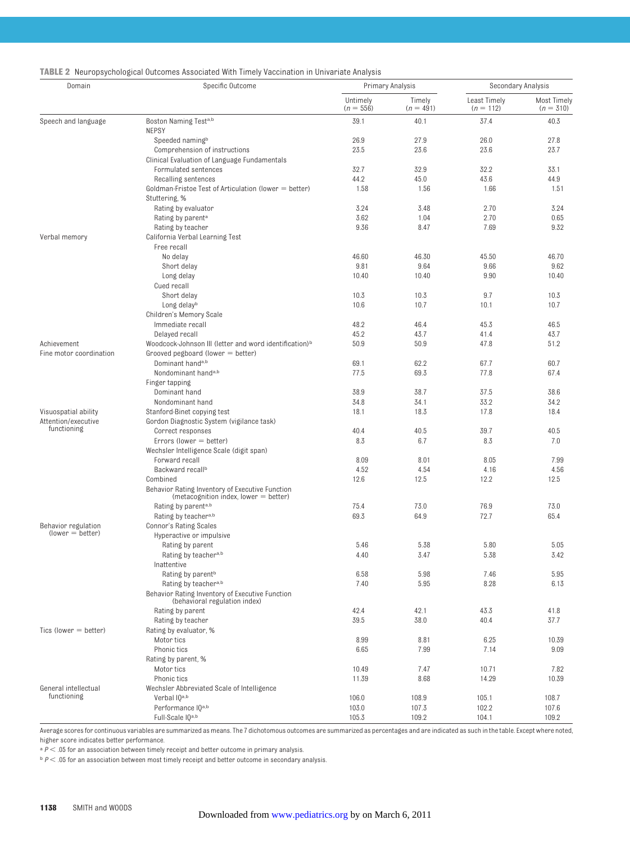| <b>TABLE 2</b> Neuropsychological Outcomes Associated With Timely Vaccination in Univariate Analysis |  |  |  |  |  |  |  |  |  |  |  |
|------------------------------------------------------------------------------------------------------|--|--|--|--|--|--|--|--|--|--|--|
|------------------------------------------------------------------------------------------------------|--|--|--|--|--|--|--|--|--|--|--|

| Domain                  | Specific Outcome                                                                         | Primary Analysis        |                       | Secondary Analysis          |                            |
|-------------------------|------------------------------------------------------------------------------------------|-------------------------|-----------------------|-----------------------------|----------------------------|
|                         |                                                                                          | Untimely<br>$(n = 556)$ | Timely<br>$(n = 491)$ | Least Timely<br>$(n = 112)$ | Most Timely<br>$(n = 310)$ |
| Speech and language     | Boston Naming Testa,b<br><b>NEPSY</b>                                                    | 39.1                    | 40.1                  | 37.4                        | 40.3                       |
|                         | Speeded naming <sup>b</sup>                                                              | 26.9                    | 27.9                  | 26.0                        | 27.8                       |
|                         | Comprehension of instructions                                                            | 23.5                    | 23.6                  | 23.6                        | 23.7                       |
|                         | Clinical Evaluation of Language Fundamentals                                             |                         |                       |                             |                            |
|                         | Formulated sentences                                                                     | 32.7                    | 32.9                  | 32.2                        | 33.1                       |
|                         | Recalling sentences                                                                      | 44.2                    | 45.0                  | 43.6                        | 44.9                       |
|                         | Goldman-Fristoe Test of Articulation (lower = better)                                    | 1.58                    | 1.56                  | 1.66                        | 1.51                       |
|                         | Stuttering, %                                                                            |                         |                       |                             |                            |
|                         | Rating by evaluator                                                                      | 3.24                    | 3.48                  | 2.70                        | 3.24                       |
|                         | Rating by parent <sup>a</sup>                                                            | 3.62                    | 1.04                  | 2.70                        | 0.65                       |
|                         | Rating by teacher                                                                        | 9.36                    | 8.47                  | 7.69                        | 9.32                       |
| Verbal memory           | California Verbal Learning Test<br>Free recall                                           |                         |                       |                             |                            |
|                         | No delay                                                                                 | 46.60                   | 46.30                 | 45.50                       | 46.70                      |
|                         | Short delay                                                                              | 9.81                    | 9.64                  | 9.66                        | 9.62                       |
|                         | Long delay                                                                               | 10.40                   | 10.40                 | 9.90                        | 10.40                      |
|                         | Cued recall                                                                              |                         |                       |                             |                            |
|                         | Short delay                                                                              | 10.3                    | 10.3                  | 9.7                         | 10.3                       |
|                         | Long delayb                                                                              | 10.6                    | 10.7                  | 10.1                        | 10.7                       |
|                         | Children's Memory Scale                                                                  |                         |                       |                             |                            |
|                         | Immediate recall                                                                         | 48.2                    | 46.4                  | 45.3                        | 46.5                       |
|                         | Delayed recall                                                                           | 45.2                    | 43.7                  | 41.4                        | 43.7                       |
| Achievement             | Woodcock-Johnson III (letter and word identification) <sup>b</sup>                       | 50.9                    | 50.9                  | 47.8                        | 51.2                       |
| Fine motor coordination | Grooved pegboard (lower $=$ better)                                                      |                         |                       |                             |                            |
|                         | Dominant hand <sup>a,b</sup>                                                             | 69.1                    | 62.2                  | 67.7                        | 60.7                       |
|                         | Nondominant hand <sup>a,b</sup>                                                          | 77.5                    | 69.3                  | 77.8                        | 67.4                       |
|                         | Finger tapping                                                                           |                         |                       |                             |                            |
|                         | Dominant hand                                                                            | 38.9                    | 38.7                  | 37.5                        | 38.6                       |
|                         | Nondominant hand                                                                         | 34.8                    | 34.1                  | 33.2                        | 34.2                       |
| Visuospatial ability    | Stanford-Binet copying test                                                              | 18.1                    | 18.3                  | 17.8                        | 18.4                       |
| Attention/executive     | Gordon Diagnostic System (vigilance task)                                                |                         |                       |                             |                            |
| functioning             | Correct responses                                                                        | 40.4                    | 40.5                  | 39.7                        | 40.5                       |
|                         | Errors (lower $=$ better)                                                                | 8.3                     | 6.7                   | 8.3                         | 7.0                        |
|                         | Wechsler Intelligence Scale (digit span)                                                 |                         |                       |                             |                            |
|                         | Forward recall                                                                           | 8.09                    | 8.01                  | 8.05                        | 7.99                       |
|                         | Backward recall <sup>b</sup>                                                             | 4.52                    | 4.54                  | 4.16                        | 4.56                       |
|                         | Combined                                                                                 | 12.6                    | 12.5                  | 12.2                        | 12.5                       |
|                         | Behavior Rating Inventory of Executive Function<br>(metacognition index, lower = better) |                         |                       |                             |                            |
|                         | Rating by parent <sup>a,b</sup>                                                          | 75.4                    | 73.0                  | 76.9                        | 73.0                       |
|                         | Rating by teachera,b                                                                     | 69.3                    | 64.9                  | 72.7                        | 65.4                       |
| Behavior regulation     | <b>Connor's Rating Scales</b>                                                            |                         |                       |                             |                            |
| $(lower = better)$      | Hyperactive or impulsive                                                                 |                         |                       |                             |                            |
|                         | Rating by parent                                                                         | 5.46                    | 5.38                  | 5.80                        | 5.05                       |
|                         | Rating by teacher <sup>a,b</sup>                                                         | 4.40                    | 3.47                  | 5.38                        | 3.42                       |
|                         | Inattentive                                                                              |                         |                       |                             |                            |
|                         | Rating by parent <sup>b</sup>                                                            | 6.58                    | 5.98                  | 7.46                        | 5.95                       |
|                         | Rating by teachera,b                                                                     | 7.40                    | 5.95                  | 8.28                        | 6.13                       |
|                         | Behavior Rating Inventory of Executive Function<br>(behavioral regulation index)         |                         |                       |                             |                            |
|                         | Rating by parent                                                                         | 42.4                    | 42.1                  | 43.3                        | 41.8                       |
|                         | Rating by teacher                                                                        | 39.5                    | 38.0                  | 40.4                        | 37.7                       |
| $Tics$ (lower = better) | Rating by evaluator, %                                                                   |                         |                       |                             |                            |
|                         | Motor tics                                                                               | 8.99                    | 8.81                  | 6.25                        | 10.39                      |
|                         | Phonic tics                                                                              | 6.65                    | 7.99                  | 7.14                        | 9.09                       |
|                         | Rating by parent, %                                                                      |                         |                       |                             |                            |
|                         | Motor tics                                                                               | 10.49                   | 7.47                  | 10.71                       | 7.82                       |
|                         | Phonic tics                                                                              | 11.39                   | 8.68                  | 14.29                       | 10.39                      |
| General intellectual    | Wechsler Abbreviated Scale of Intelligence                                               |                         |                       |                             |                            |
| functioning             | Verbal IQa,b                                                                             | 106.0                   | 108.9                 | 105.1                       | 108.7                      |
|                         | Performance IQa,b                                                                        | 103.0                   | 107.3                 | 102.2                       | 107.6                      |
|                         | Full-Scale IQa,b                                                                         | 105.3                   | 109.2                 | 104.1                       | 109.2                      |

Average scores for continuous variables are summarized as means. The 7 dichotomous outcomes are summarized as percentages and are indicated as such in the table. Except where noted, higher score indicates better performance.

 $^{\rm a}$   $P$   $<$  .05 for an association between timely receipt and better outcome in primary analysis.

 $^{\rm b}$   $P$   $<$  .05 for an association between most timely receipt and better outcome in secondary analysis.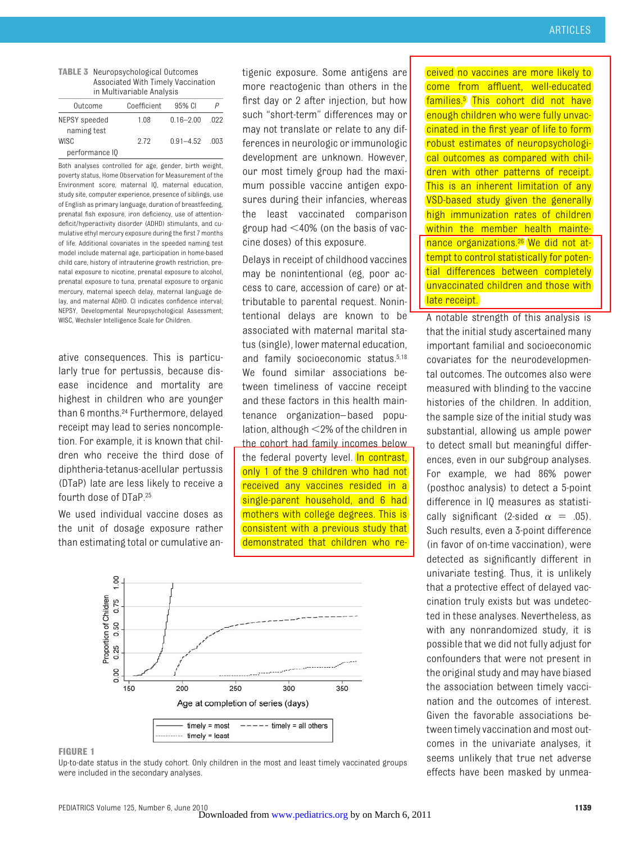#### **TABLE 3** Neuropsychological Outcomes Associated With Timely Vaccination in Multivariable Analysis

| Outcome        | Coefficient | 95% CI        |       |
|----------------|-------------|---------------|-------|
| NEPSY speeded  | 1.08        | $0.16 - 2.00$ | -022  |
| naming test    |             |               |       |
| WISC           | 2.72        | $0.91 - 4.52$ | - 003 |
| performance IO |             |               |       |

Both analyses controlled for age, gender, birth weight, poverty status, Home Observation for Measurement of the Environment score, maternal IQ, maternal education, study site, computer experience, presence of siblings, use of English as primary language, duration of breastfeeding, prenatal fish exposure, iron deficiency, use of attentiondeficit/hyperactivity disorder (ADHD) stimulants, and cumulative ethyl mercury exposure during the first 7 months of life. Additional covariates in the speeded naming test model include maternal age, participation in home-based child care, history of intrauterine growth restriction, prenatal exposure to nicotine, prenatal exposure to alcohol, prenatal exposure to tuna, prenatal exposure to organic mercury, maternal speech delay, maternal language delay, and maternal ADHD. CI indicates confidence interval; NEPSY, Developmental Neuropsychological Assessment; WISC, Wechsler Intelligence Scale for Children.

ative consequences. This is particularly true for pertussis, because disease incidence and mortality are highest in children who are younger than 6 months.24 Furthermore, delayed receipt may lead to series noncompletion. For example, it is known that children who receive the third dose of diphtheria-tetanus-acellular pertussis (DTaP) late are less likely to receive a fourth dose of DTaP.25

We used individual vaccine doses as the unit of dosage exposure rather than estimating total or cumulative antigenic exposure. Some antigens are more reactogenic than others in the first day or 2 after injection, but how such "short-term" differences may or may not translate or relate to any differences in neurologic or immunologic development are unknown. However, our most timely group had the maximum possible vaccine antigen exposures during their infancies, whereas the least vaccinated comparison group had  $\leq 40\%$  (on the basis of vaccine doses) of this exposure.

Delays in receipt of childhood vaccines may be nonintentional (eg, poor access to care, accession of care) or attributable to parental request. Nonintentional delays are known to be associated with maternal marital status (single), lower maternal education, and family socioeconomic status.5,18 We found similar associations between timeliness of vaccine receipt and these factors in this health maintenance organization–based population, although  $\leq$ 2% of the children in the cohort had family incomes below the federal poverty level. In contrast, only 1 of the 9 children who had not received any vaccines resided in a single-parent household, and 6 had mothers with college degrees. This is consistent with a previous study that

demonstrated that children who re-



#### **FIGURE 1**

Up-to-date status in the study cohort. Only children in the most and least timely vaccinated groups were included in the secondary analyses.

ceived no vaccines are more likely to come from affluent, well-educated families.5 This cohort did not have enough children who were fully unvaccinated in the first year of life to form robust estimates of neuropsychological outcomes as compared with children with other patterns of receipt. This is an inherent limitation of any VSD-based study given the generally high immunization rates of children within the member health maintenance organizations.<sup>26</sup> We did not attempt to control statistically for potential differences between completely unvaccinated children and those with late receipt.

A notable strength of this analysis is that the initial study ascertained many important familial and socioeconomic covariates for the neurodevelopmental outcomes. The outcomes also were measured with blinding to the vaccine histories of the children. In addition, the sample size of the initial study was substantial, allowing us ample power to detect small but meaningful differences, even in our subgroup analyses. For example, we had 86% power (posthoc analysis) to detect a 5-point difference in IQ measures as statistically significant (2-sided  $\alpha = .05$ ). Such results, even a 3-point difference (in favor of on-time vaccination), were detected as significantly different in univariate testing. Thus, it is unlikely that a protective effect of delayed vaccination truly exists but was undetected in these analyses. Nevertheless, as with any nonrandomized study, it is possible that we did not fully adjust for confounders that were not present in the original study and may have biased the association between timely vaccination and the outcomes of interest. Given the favorable associations between timely vaccination and most outcomes in the univariate analyses, it seems unlikely that true net adverse effects have been masked by unmea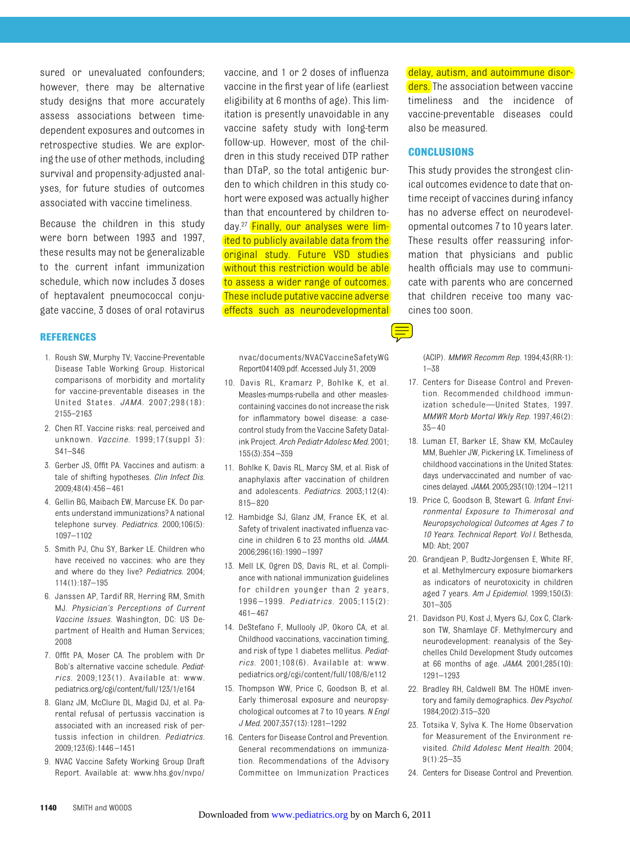sured or unevaluated confounders; however, there may be alternative study designs that more accurately assess associations between timedependent exposures and outcomes in retrospective studies. We are exploring the use of other methods, including survival and propensity-adjusted analyses, for future studies of outcomes associated with vaccine timeliness.

Because the children in this study were born between 1993 and 1997, these results may not be generalizable to the current infant immunization schedule, which now includes 3 doses of heptavalent pneumococcal conjugate vaccine, 3 doses of oral rotavirus

## **REFERENCES**

- 1. Roush SW, Murphy TV; Vaccine-Preventable Disease Table Working Group. Historical comparisons of morbidity and mortality for vaccine-preventable diseases in the United States. *JAMA.* 2007;298(18): 2155–2163
- 2. Chen RT. Vaccine risks: real, perceived and unknown. *Vaccine.* 1999;17(suppl 3): S41–S46
- 3. Gerber JS, Offit PA. Vaccines and autism: a tale of shifting hypotheses. *Clin Infect Dis.* 2009;48(4):456 – 461
- 4. Gellin BG, Maibach EW, Marcuse EK. Do parents understand immunizations? A national telephone survey. *Pediatrics.* 2000;106(5): 1097–1102
- 5. Smith PJ, Chu SY, Barker LE. Children who have received no vaccines: who are they and where do they live? *Pediatrics.* 2004; 114(1):187–195
- 6. Janssen AP, Tardif RR, Herring RM, Smith MJ. *Physician's Perceptions of Current Vaccine Issues*. Washington, DC: US Department of Health and Human Services; 2008
- 7. Offit PA, Moser CA. The problem with Dr Bob's alternative vaccine schedule. *Pediatrics.* 2009;123(1). Available at: www. pediatrics.org/cgi/content/full/123/1/e164
- 8. Glanz JM, McClure DL, Magid DJ, et al. Parental refusal of pertussis vaccination is associated with an increased risk of pertussis infection in children. *Pediatrics.* 2009;123(6):1446 –1451
- 9. NVAC Vaccine Safety Working Group Draft Report. Available at: www.hhs.gov/nvpo/

vaccine, and 1 or 2 doses of influenza vaccine in the first year of life (earliest eligibility at 6 months of age). This limitation is presently unavoidable in any vaccine safety study with long-term follow-up. However, most of the children in this study received DTP rather than DTaP, so the total antigenic burden to which children in this study cohort were exposed was actually higher than that encountered by children today.27 Finally, our analyses were limited to publicly available data from the original study. Future VSD studies without this restriction would be able to assess a wider range of outcomes. These include putative vaccine adverse effects such as neurodevelopmental

nvac/documents/NVACVaccineSafetyWG Report041409.pdf. Accessed July 31, 2009

- 10. Davis RL, Kramarz P, Bohlke K, et al. Measles-mumps-rubella and other measlescontaining vaccines do not increase the risk for inflammatory bowel disease: a casecontrol study from the Vaccine Safety Datalink Project. *Arch Pediatr Adolesc Med.* 2001; 155(3):354 –359
- 11. Bohlke K, Davis RL, Marcy SM, et al. Risk of anaphylaxis after vaccination of children and adolescents. *Pediatrics.* 2003;112(4): 815– 820
- 12. Hambidge SJ, Glanz JM, France EK, et al. Safety of trivalent inactivated influenza vaccine in children 6 to 23 months old. *JAMA.* 2006;296(16):1990 –1997
- 13. Mell LK, Ogren DS, Davis RL, et al. Compliance with national immunization guidelines for children younger than 2 years, 1996 –1999. *Pediatrics.* 2005;115(2): 461– 467
- 14. DeStefano F, Mullooly JP, Okoro CA, et al. Childhood vaccinations, vaccination timing, and risk of type 1 diabetes mellitus. *Pediatrics.* 2001;108(6). Available at: www. pediatrics.org/cgi/content/full/108/6/e112
- 15. Thompson WW, Price C, Goodson B, et al. Early thimerosal exposure and neuropsychological outcomes at 7 to 10 years. *N Engl J Med.* 2007;357(13):1281–1292
- 16. Centers for Disease Control and Prevention. General recommendations on immunization. Recommendations of the Advisory Committee on Immunization Practices

delay, autism, and autoimmune disorders. The association between vaccine timeliness and the incidence of vaccine-preventable diseases could also be measured.

## **CONCLUSIONS**

This study provides the strongest clinical outcomes evidence to date that ontime receipt of vaccines during infancy has no adverse effect on neurodevelopmental outcomes 7 to 10 years later. These results offer reassuring information that physicians and public health officials may use to communicate with parents who are concerned that children receive too many vaccines too soon.

(ACIP). *MMWR Recomm Rep.* 1994;43(RR-1): 1–38

- 17. Centers for Disease Control and Prevention. Recommended childhood immunization schedule—United States, 1997. *MMWR Morb Mortal Wkly Rep.* 1997;46(2): 35– 40
- 18. Luman ET, Barker LE, Shaw KM, McCauley MM, Buehler JW, Pickering LK. Timeliness of childhood vaccinations in the United States: days undervaccinated and number of vaccines delayed. *JAMA.* 2005;293(10):1204 –1211
- 19. Price C, Goodson B, Stewart G. *Infant Environmental Exposure to Thimerosal and Neuropsychological Outcomes at Ages 7 to 10 Years. Technical Report. Vol I*. Bethesda, MD: Abt; 2007
- 20. Grandjean P, Budtz-Jorgensen E, White RF, et al. Methylmercury exposure biomarkers as indicators of neurotoxicity in children aged 7 years. *Am J Epidemiol.* 1999;150(3): 301–305
- 21. Davidson PU, Kost J, Myers GJ, Cox C, Clarkson TW, Shamlaye CF. Methylmercury and neurodevelopment: reanalysis of the Seychelles Child Development Study outcomes at 66 months of age. *JAMA.* 2001;285(10): 1291–1293
- 22. Bradley RH, Caldwell BM. The HOME inventory and family demographics. *Dev Psychol.* 1984;20(2):315–320
- 23. Totsika V, Sylva K. The Home Observation for Measurement of the Environment revisited. *Child Adolesc Ment Health.* 2004; 9(1):25–35
- 24. Centers for Disease Control and Prevention.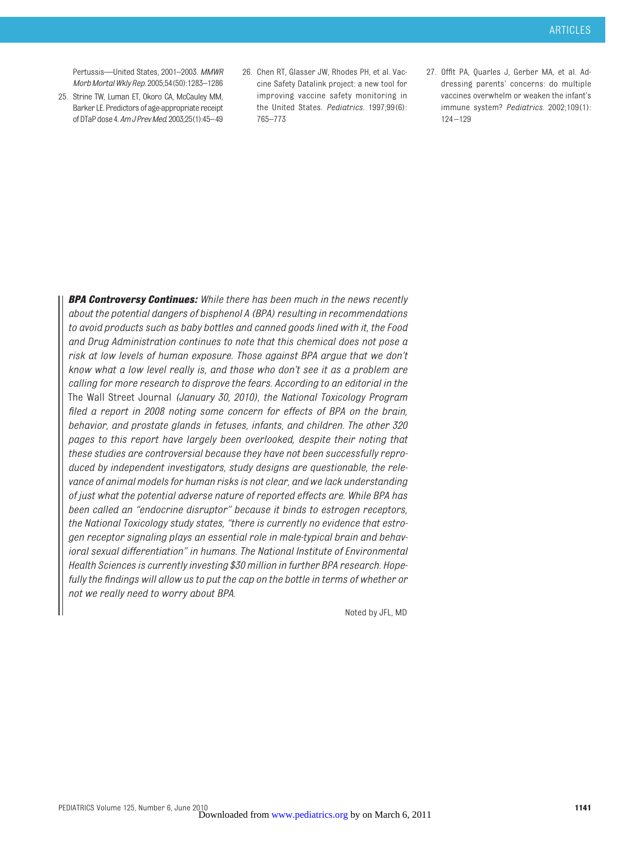Pertussis—United States, 2001–2003. *MMWR MorbMortalWkly Rep.* 2005;54(50):1283–1286

- 25. Strine TW, Luman ET, Okoro CA, McCauley MM, Barker LE. Predictors of age-appropriate receipt of DTaPdose4.*AmJPrevMed.*2003;25(1):45–49
- 26. Chen RT, Glasser JW, Rhodes PH, et al. Vaccine Safety Datalink project: a new tool for improving vaccine safety monitoring in the United States. *Pediatrics.* 1997;99(6): 765–773
- 27. Offit PA, Quarles J, Gerber MA, et al. Addressing parents' concerns: do multiple vaccines overwhelm or weaken the infant's immune system? *Pediatrics.* 2002;109(1): 124 –129

*BPA Controversy Continues: While there has been much in the news recently about the potential dangers of bisphenol A (BPA) resulting in recommendations to avoid products such as baby bottles and canned goods lined with it, the Food and Drug Administration continues to note that this chemical does not pose a risk at low levels of human exposure. Those against BPA argue that we don't know what a low level really is, and those who don't see it as a problem are calling for more research to disprove the fears. According to an editorial in the* The Wall Street Journal *(January 30, 2010), the National Toxicology Program filed a report in 2008 noting some concern for effects of BPA on the brain, behavior, and prostate glands in fetuses, infants, and children. The other 320 pages to this report have largely been overlooked, despite their noting that these studies are controversial because they have not been successfully reproduced by independent investigators, study designs are questionable, the relevance of animal models for human risks is not clear, and we lack understanding of just what the potential adverse nature of reported effects are. While BPA has been called an "endocrine disruptor" because it binds to estrogen receptors, the National Toxicology study states, "there is currently no evidence that estrogen receptor signaling plays an essential role in male-typical brain and behavioral sexual differentiation" in humans. The National Institute of Environmental Health Sciences is currently investing \$30 million in further BPA research. Hopefully the findings will allow us to put the cap on the bottle in terms of whether or not we really need to worry about BPA.*

Noted by JFL, MD